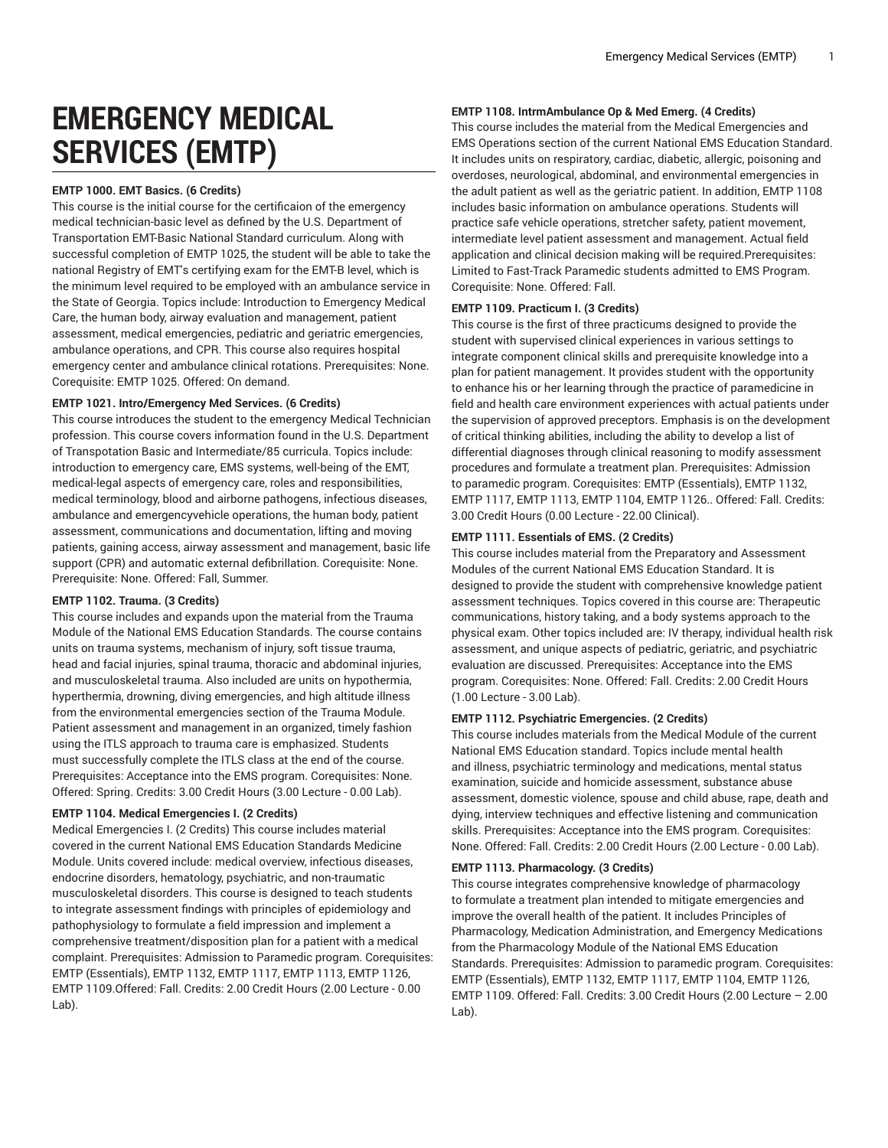# **EMERGENCY MEDICAL SERVICES (EMTP)**

# **EMTP 1000. EMT Basics. (6 Credits)**

This course is the initial course for the certificaion of the emergency medical technician-basic level as defined by the U.S. Department of Transportation EMT-Basic National Standard curriculum. Along with successful completion of EMTP 1025, the student will be able to take the national Registry of EMT's certifying exam for the EMT-B level, which is the minimum level required to be employed with an ambulance service in the State of Georgia. Topics include: Introduction to Emergency Medical Care, the human body, airway evaluation and management, patient assessment, medical emergencies, pediatric and geriatric emergencies, ambulance operations, and CPR. This course also requires hospital emergency center and ambulance clinical rotations. Prerequisites: None. Corequisite: EMTP 1025. Offered: On demand.

## **EMTP 1021. Intro/Emergency Med Services. (6 Credits)**

This course introduces the student to the emergency Medical Technician profession. This course covers information found in the U.S. Department of Transpotation Basic and Intermediate/85 curricula. Topics include: introduction to emergency care, EMS systems, well-being of the EMT, medical-legal aspects of emergency care, roles and responsibilities, medical terminology, blood and airborne pathogens, infectious diseases, ambulance and emergencyvehicle operations, the human body, patient assessment, communications and documentation, lifting and moving patients, gaining access, airway assessment and management, basic life support (CPR) and automatic external defibrillation. Corequisite: None. Prerequisite: None. Offered: Fall, Summer.

# **EMTP 1102. Trauma. (3 Credits)**

This course includes and expands upon the material from the Trauma Module of the National EMS Education Standards. The course contains units on trauma systems, mechanism of injury, soft tissue trauma, head and facial injuries, spinal trauma, thoracic and abdominal injuries, and musculoskeletal trauma. Also included are units on hypothermia, hyperthermia, drowning, diving emergencies, and high altitude illness from the environmental emergencies section of the Trauma Module. Patient assessment and management in an organized, timely fashion using the ITLS approach to trauma care is emphasized. Students must successfully complete the ITLS class at the end of the course. Prerequisites: Acceptance into the EMS program. Corequisites: None. Offered: Spring. Credits: 3.00 Credit Hours (3.00 Lecture - 0.00 Lab).

## **EMTP 1104. Medical Emergencies I. (2 Credits)**

Medical Emergencies I. (2 Credits) This course includes material covered in the current National EMS Education Standards Medicine Module. Units covered include: medical overview, infectious diseases, endocrine disorders, hematology, psychiatric, and non-traumatic musculoskeletal disorders. This course is designed to teach students to integrate assessment findings with principles of epidemiology and pathophysiology to formulate a field impression and implement a comprehensive treatment/disposition plan for a patient with a medical complaint. Prerequisites: Admission to Paramedic program. Corequisites: EMTP (Essentials), EMTP 1132, EMTP 1117, EMTP 1113, EMTP 1126, EMTP 1109.Offered: Fall. Credits: 2.00 Credit Hours (2.00 Lecture - 0.00 Lab).

# **EMTP 1108. IntrmAmbulance Op & Med Emerg. (4 Credits)**

This course includes the material from the Medical Emergencies and EMS Operations section of the current National EMS Education Standard. It includes units on respiratory, cardiac, diabetic, allergic, poisoning and overdoses, neurological, abdominal, and environmental emergencies in the adult patient as well as the geriatric patient. In addition, EMTP 1108 includes basic information on ambulance operations. Students will practice safe vehicle operations, stretcher safety, patient movement, intermediate level patient assessment and management. Actual field application and clinical decision making will be required.Prerequisites: Limited to Fast-Track Paramedic students admitted to EMS Program. Corequisite: None. Offered: Fall.

## **EMTP 1109. Practicum I. (3 Credits)**

This course is the first of three practicums designed to provide the student with supervised clinical experiences in various settings to integrate component clinical skills and prerequisite knowledge into a plan for patient management. It provides student with the opportunity to enhance his or her learning through the practice of paramedicine in field and health care environment experiences with actual patients under the supervision of approved preceptors. Emphasis is on the development of critical thinking abilities, including the ability to develop a list of differential diagnoses through clinical reasoning to modify assessment procedures and formulate a treatment plan. Prerequisites: Admission to paramedic program. Corequisites: EMTP (Essentials), EMTP 1132, EMTP 1117, EMTP 1113, EMTP 1104, EMTP 1126.. Offered: Fall. Credits: 3.00 Credit Hours (0.00 Lecture - 22.00 Clinical).

## **EMTP 1111. Essentials of EMS. (2 Credits)**

This course includes material from the Preparatory and Assessment Modules of the current National EMS Education Standard. It is designed to provide the student with comprehensive knowledge patient assessment techniques. Topics covered in this course are: Therapeutic communications, history taking, and a body systems approach to the physical exam. Other topics included are: IV therapy, individual health risk assessment, and unique aspects of pediatric, geriatric, and psychiatric evaluation are discussed. Prerequisites: Acceptance into the EMS program. Corequisites: None. Offered: Fall. Credits: 2.00 Credit Hours (1.00 Lecture - 3.00 Lab).

#### **EMTP 1112. Psychiatric Emergencies. (2 Credits)**

This course includes materials from the Medical Module of the current National EMS Education standard. Topics include mental health and illness, psychiatric terminology and medications, mental status examination, suicide and homicide assessment, substance abuse assessment, domestic violence, spouse and child abuse, rape, death and dying, interview techniques and effective listening and communication skills. Prerequisites: Acceptance into the EMS program. Corequisites: None. Offered: Fall. Credits: 2.00 Credit Hours (2.00 Lecture - 0.00 Lab).

#### **EMTP 1113. Pharmacology. (3 Credits)**

This course integrates comprehensive knowledge of pharmacology to formulate a treatment plan intended to mitigate emergencies and improve the overall health of the patient. It includes Principles of Pharmacology, Medication Administration, and Emergency Medications from the Pharmacology Module of the National EMS Education Standards. Prerequisites: Admission to paramedic program. Corequisites: EMTP (Essentials), EMTP 1132, EMTP 1117, EMTP 1104, EMTP 1126, EMTP 1109. Offered: Fall. Credits: 3.00 Credit Hours (2.00 Lecture – 2.00 Lab).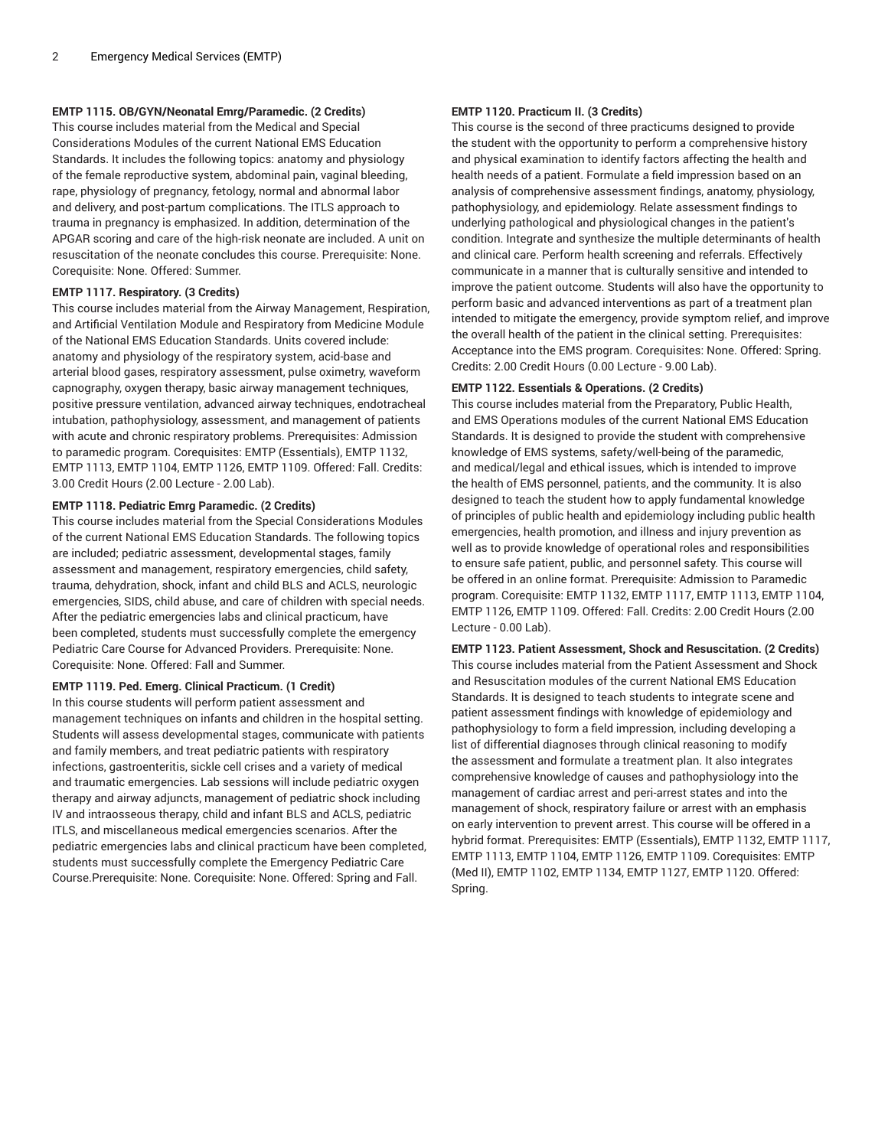# **EMTP 1115. OB/GYN/Neonatal Emrg/Paramedic. (2 Credits)**

This course includes material from the Medical and Special Considerations Modules of the current National EMS Education Standards. It includes the following topics: anatomy and physiology of the female reproductive system, abdominal pain, vaginal bleeding, rape, physiology of pregnancy, fetology, normal and abnormal labor and delivery, and post-partum complications. The ITLS approach to trauma in pregnancy is emphasized. In addition, determination of the APGAR scoring and care of the high-risk neonate are included. A unit on resuscitation of the neonate concludes this course. Prerequisite: None. Corequisite: None. Offered: Summer.

# **EMTP 1117. Respiratory. (3 Credits)**

This course includes material from the Airway Management, Respiration, and Artificial Ventilation Module and Respiratory from Medicine Module of the National EMS Education Standards. Units covered include: anatomy and physiology of the respiratory system, acid-base and arterial blood gases, respiratory assessment, pulse oximetry, waveform capnography, oxygen therapy, basic airway management techniques, positive pressure ventilation, advanced airway techniques, endotracheal intubation, pathophysiology, assessment, and management of patients with acute and chronic respiratory problems. Prerequisites: Admission to paramedic program. Corequisites: EMTP (Essentials), EMTP 1132, EMTP 1113, EMTP 1104, EMTP 1126, EMTP 1109. Offered: Fall. Credits: 3.00 Credit Hours (2.00 Lecture - 2.00 Lab).

# **EMTP 1118. Pediatric Emrg Paramedic. (2 Credits)**

This course includes material from the Special Considerations Modules of the current National EMS Education Standards. The following topics are included; pediatric assessment, developmental stages, family assessment and management, respiratory emergencies, child safety, trauma, dehydration, shock, infant and child BLS and ACLS, neurologic emergencies, SIDS, child abuse, and care of children with special needs. After the pediatric emergencies labs and clinical practicum, have been completed, students must successfully complete the emergency Pediatric Care Course for Advanced Providers. Prerequisite: None. Corequisite: None. Offered: Fall and Summer.

#### **EMTP 1119. Ped. Emerg. Clinical Practicum. (1 Credit)**

In this course students will perform patient assessment and management techniques on infants and children in the hospital setting. Students will assess developmental stages, communicate with patients and family members, and treat pediatric patients with respiratory infections, gastroenteritis, sickle cell crises and a variety of medical and traumatic emergencies. Lab sessions will include pediatric oxygen therapy and airway adjuncts, management of pediatric shock including IV and intraosseous therapy, child and infant BLS and ACLS, pediatric ITLS, and miscellaneous medical emergencies scenarios. After the pediatric emergencies labs and clinical practicum have been completed, students must successfully complete the Emergency Pediatric Care Course.Prerequisite: None. Corequisite: None. Offered: Spring and Fall.

# **EMTP 1120. Practicum II. (3 Credits)**

This course is the second of three practicums designed to provide the student with the opportunity to perform a comprehensive history and physical examination to identify factors affecting the health and health needs of a patient. Formulate a field impression based on an analysis of comprehensive assessment findings, anatomy, physiology, pathophysiology, and epidemiology. Relate assessment findings to underlying pathological and physiological changes in the patient's condition. Integrate and synthesize the multiple determinants of health and clinical care. Perform health screening and referrals. Effectively communicate in a manner that is culturally sensitive and intended to improve the patient outcome. Students will also have the opportunity to perform basic and advanced interventions as part of a treatment plan intended to mitigate the emergency, provide symptom relief, and improve the overall health of the patient in the clinical setting. Prerequisites: Acceptance into the EMS program. Corequisites: None. Offered: Spring. Credits: 2.00 Credit Hours (0.00 Lecture - 9.00 Lab).

## **EMTP 1122. Essentials & Operations. (2 Credits)**

This course includes material from the Preparatory, Public Health, and EMS Operations modules of the current National EMS Education Standards. It is designed to provide the student with comprehensive knowledge of EMS systems, safety/well-being of the paramedic, and medical/legal and ethical issues, which is intended to improve the health of EMS personnel, patients, and the community. It is also designed to teach the student how to apply fundamental knowledge of principles of public health and epidemiology including public health emergencies, health promotion, and illness and injury prevention as well as to provide knowledge of operational roles and responsibilities to ensure safe patient, public, and personnel safety. This course will be offered in an online format. Prerequisite: Admission to Paramedic program. Corequisite: EMTP 1132, EMTP 1117, EMTP 1113, EMTP 1104, EMTP 1126, EMTP 1109. Offered: Fall. Credits: 2.00 Credit Hours (2.00 Lecture - 0.00 Lab).

**EMTP 1123. Patient Assessment, Shock and Resuscitation. (2 Credits)** This course includes material from the Patient Assessment and Shock and Resuscitation modules of the current National EMS Education Standards. It is designed to teach students to integrate scene and patient assessment findings with knowledge of epidemiology and pathophysiology to form a field impression, including developing a list of differential diagnoses through clinical reasoning to modify the assessment and formulate a treatment plan. It also integrates comprehensive knowledge of causes and pathophysiology into the management of cardiac arrest and peri-arrest states and into the management of shock, respiratory failure or arrest with an emphasis on early intervention to prevent arrest. This course will be offered in a hybrid format. Prerequisites: EMTP (Essentials), EMTP 1132, EMTP 1117, EMTP 1113, EMTP 1104, EMTP 1126, EMTP 1109. Corequisites: EMTP (Med II), EMTP 1102, EMTP 1134, EMTP 1127, EMTP 1120. Offered: Spring.